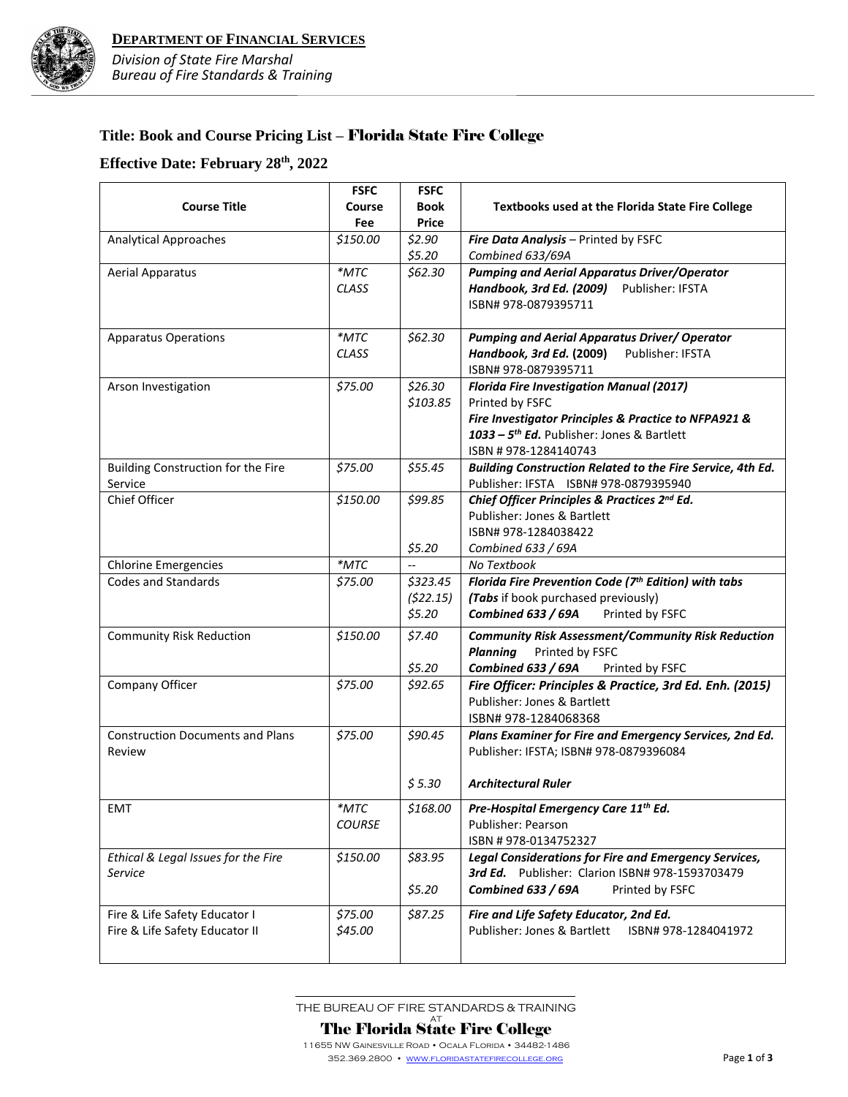

## **Title: Book and Course Pricing List –** Florida State Fire College

## **Effective Date: February 28th, 2022**

|                                         | <b>FSFC</b>   | <b>FSFC</b>  |                                                              |
|-----------------------------------------|---------------|--------------|--------------------------------------------------------------|
| <b>Course Title</b>                     | Course        | <b>Book</b>  | Textbooks used at the Florida State Fire College             |
|                                         | Fee           | <b>Price</b> |                                                              |
| <b>Analytical Approaches</b>            | \$150.00      | \$2.90       | Fire Data Analysis - Printed by FSFC                         |
|                                         |               | \$5.20       | Combined 633/69A                                             |
| <b>Aerial Apparatus</b>                 | $*$ MTC       | \$62.30      | <b>Pumping and Aerial Apparatus Driver/Operator</b>          |
|                                         | <b>CLASS</b>  |              | Handbook, 3rd Ed. (2009)<br>Publisher: IFSTA                 |
|                                         |               |              | ISBN# 978-0879395711                                         |
|                                         |               |              |                                                              |
| <b>Apparatus Operations</b>             | $*$ MTC       | \$62.30      | <b>Pumping and Aerial Apparatus Driver/ Operator</b>         |
|                                         | CLASS         |              | Handbook, 3rd Ed. (2009)<br>Publisher: IFSTA                 |
|                                         |               |              | ISBN# 978-0879395711                                         |
| Arson Investigation                     | \$75.00       | \$26.30      | <b>Florida Fire Investigation Manual (2017)</b>              |
|                                         |               | \$103.85     | Printed by FSFC                                              |
|                                         |               |              | Fire Investigator Principles & Practice to NFPA921 &         |
|                                         |               |              | 1033 - 5 <sup>th</sup> Ed. Publisher: Jones & Bartlett       |
|                                         |               |              | ISBN #978-1284140743                                         |
| Building Construction for the Fire      | \$75.00       | \$55.45      | Building Construction Related to the Fire Service, 4th Ed.   |
| Service                                 |               |              | Publisher: IFSTA ISBN# 978-0879395940                        |
| Chief Officer                           | \$150.00      | \$99.85      | Chief Officer Principles & Practices 2nd Ed.                 |
|                                         |               |              | Publisher: Jones & Bartlett                                  |
|                                         |               |              | ISBN#978-1284038422                                          |
|                                         |               | \$5.20       | Combined 633 / 69A                                           |
| <b>Chlorine Emergencies</b>             | *MTC          |              | No Textbook                                                  |
| <b>Codes and Standards</b>              | \$75.00       | \$323.45     | Florida Fire Prevention Code (7th Edition) with tabs         |
|                                         |               | (522.15)     | (Tabs if book purchased previously)                          |
|                                         |               | \$5.20       | <b>Combined 633 / 69A</b><br>Printed by FSFC                 |
|                                         |               |              |                                                              |
| <b>Community Risk Reduction</b>         | \$150.00      | \$7.40       | <b>Community Risk Assessment/Community Risk Reduction</b>    |
|                                         |               |              | <b>Planning</b><br>Printed by FSFC                           |
|                                         |               | \$5.20       | <b>Combined 633 / 69A</b><br>Printed by FSFC                 |
| Company Officer                         | \$75.00       | \$92.65      | Fire Officer: Principles & Practice, 3rd Ed. Enh. (2015)     |
|                                         |               |              | Publisher: Jones & Bartlett                                  |
|                                         |               |              | ISBN#978-1284068368                                          |
| <b>Construction Documents and Plans</b> | \$75.00       | \$90.45      | Plans Examiner for Fire and Emergency Services, 2nd Ed.      |
| Review                                  |               |              | Publisher: IFSTA; ISBN# 978-0879396084                       |
|                                         |               |              |                                                              |
|                                         |               | \$5.30       | <b>Architectural Ruler</b>                                   |
| EMT                                     | $*$ MTC       | \$168.00     | Pre-Hospital Emergency Care 11 <sup>th</sup> Ed.             |
|                                         | <b>COURSE</b> |              | Publisher: Pearson                                           |
|                                         |               |              | ISBN #978-0134752327                                         |
|                                         | \$150.00      | \$83.95      | <b>Legal Considerations for Fire and Emergency Services,</b> |
| Ethical & Legal Issues for the Fire     |               |              | 3rd Ed. Publisher: Clarion ISBN# 978-1593703479              |
| Service                                 |               |              |                                                              |
|                                         |               | \$5.20       | <b>Combined 633 / 69A</b><br>Printed by FSFC                 |
| Fire & Life Safety Educator I           | \$75.00       | \$87.25      | Fire and Life Safety Educator, 2nd Ed.                       |
| Fire & Life Safety Educator II          | \$45.00       |              | Publisher: Jones & Bartlett<br>ISBN# 978-1284041972          |
|                                         |               |              |                                                              |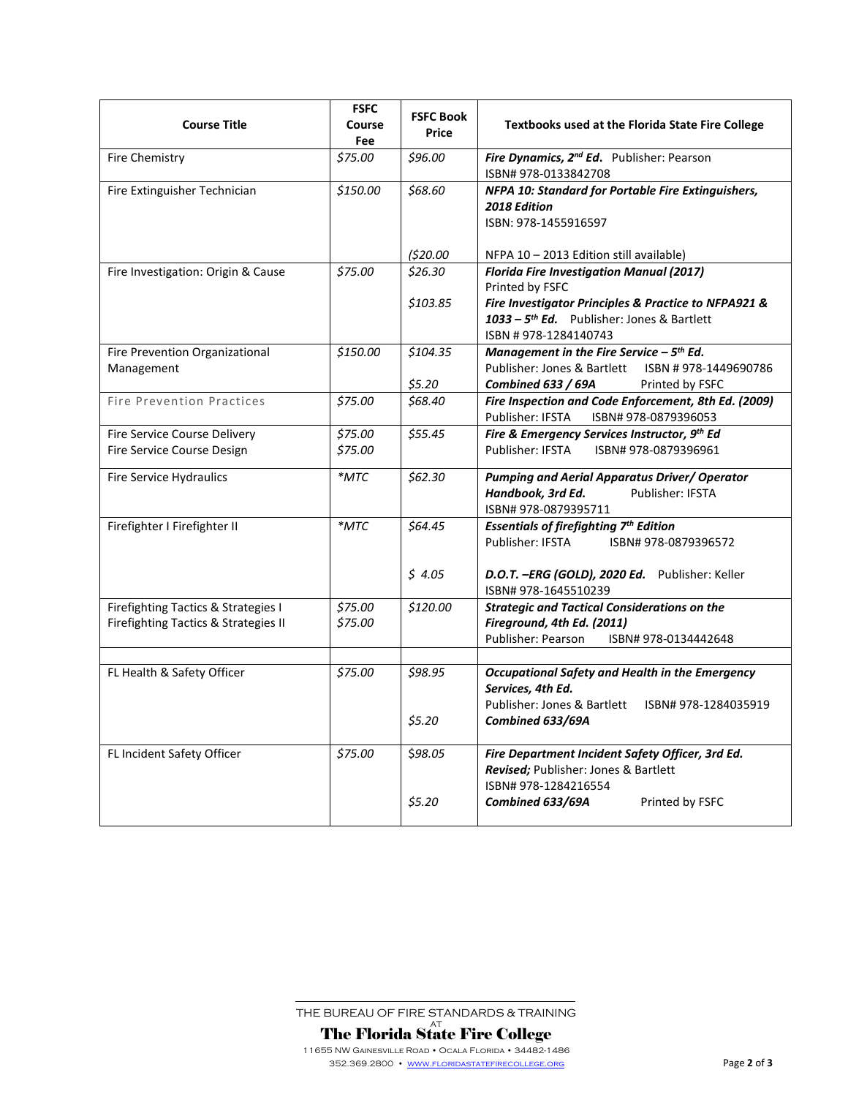| <b>Course Title</b>                                                         | <b>FSFC</b><br>Course<br>Fee | <b>FSFC Book</b><br><b>Price</b> | <b>Textbooks used at the Florida State Fire College</b>                                                                                                 |
|-----------------------------------------------------------------------------|------------------------------|----------------------------------|---------------------------------------------------------------------------------------------------------------------------------------------------------|
| <b>Fire Chemistry</b>                                                       | \$75.00                      | \$96.00                          | Fire Dynamics, 2 <sup>nd</sup> Ed. Publisher: Pearson<br>ISBN# 978-0133842708                                                                           |
| Fire Extinguisher Technician                                                | \$150.00                     | \$68.60                          | NFPA 10: Standard for Portable Fire Extinguishers,<br>2018 Edition<br>ISBN: 978-1455916597                                                              |
|                                                                             |                              | (520.00)                         | NFPA 10-2013 Edition still available)                                                                                                                   |
| Fire Investigation: Origin & Cause                                          | \$75.00                      | \$26.30                          | <b>Florida Fire Investigation Manual (2017)</b><br>Printed by FSFC                                                                                      |
|                                                                             |                              | \$103.85                         | Fire Investigator Principles & Practice to NFPA921 &<br>1033 - 5 <sup>th</sup> Ed. Publisher: Jones & Bartlett<br>ISBN #978-1284140743                  |
| Fire Prevention Organizational<br>Management                                | \$150.00                     | \$104.35<br>\$5.20               | Management in the Fire Service $-5$ <sup>th</sup> Ed.<br>Publisher: Jones & Bartlett<br>ISBN #978-1449690786<br>Combined 633 / 69A<br>Printed by FSFC   |
| <b>Fire Prevention Practices</b>                                            | \$75.00                      | \$68.40                          | Fire Inspection and Code Enforcement, 8th Ed. (2009)                                                                                                    |
| Fire Service Course Delivery<br>Fire Service Course Design                  | \$75.00<br>\$75.00           | \$55.45                          | Fire & Emergency Services Instructor, 9th Ed<br>Publisher: IFSTA<br>ISBN# 978-0879396961                                                                |
| <b>Fire Service Hydraulics</b>                                              | $*$ MTC                      | \$62.30                          | <b>Pumping and Aerial Apparatus Driver/ Operator</b><br>Publisher: IFSTA<br>Handbook, 3rd Ed.<br>ISBN# 978-0879395711                                   |
| Firefighter I Firefighter II                                                | $^*$ MTC                     | \$64.45                          | <b>Essentials of firefighting 7th Edition</b><br>Publisher: IFSTA<br>ISBN# 978-0879396572                                                               |
|                                                                             |                              | \$4.05                           | D.O.T. -ERG (GOLD), 2020 Ed. Publisher: Keller<br>ISBN# 978-1645510239                                                                                  |
| Firefighting Tactics & Strategies I<br>Firefighting Tactics & Strategies II | \$75.00<br>\$75.00           | \$120.00                         | <b>Strategic and Tactical Considerations on the</b><br>Fireground, 4th Ed. (2011)<br>Publisher: Pearson<br>ISBN# 978-0134442648                         |
|                                                                             |                              |                                  |                                                                                                                                                         |
| FL Health & Safety Officer                                                  | \$75.00                      | \$98.95<br>\$5.20                | Occupational Safety and Health in the Emergency<br>Services, 4th Ed.<br>Publisher: Jones & Bartlett<br>ISBN# 978-1284035919<br>Combined 633/69A         |
| FL Incident Safety Officer                                                  | \$75.00                      | \$98.05<br>\$5.20                | Fire Department Incident Safety Officer, 3rd Ed.<br>Revised; Publisher: Jones & Bartlett<br>ISBN# 978-1284216554<br>Printed by FSFC<br>Combined 633/69A |